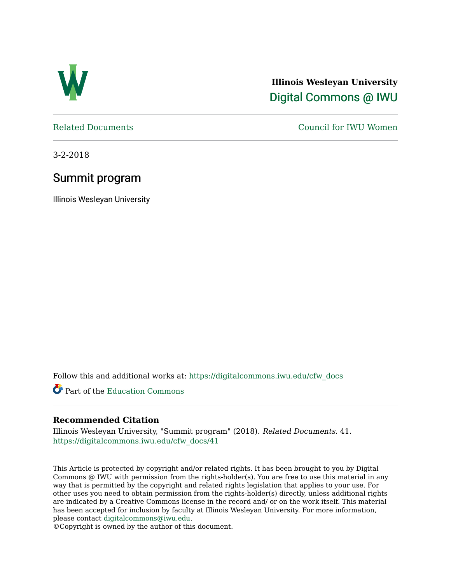

**Illinois Wesleyan University**  [Digital Commons @ IWU](https://digitalcommons.iwu.edu/) 

[Related Documents](https://digitalcommons.iwu.edu/cfw_docs) [Council for IWU Women](https://digitalcommons.iwu.edu/alumni_cfw) 

3-2-2018

## Summit program

Illinois Wesleyan University

Follow this and additional works at: [https://digitalcommons.iwu.edu/cfw\\_docs](https://digitalcommons.iwu.edu/cfw_docs?utm_source=digitalcommons.iwu.edu%2Fcfw_docs%2F41&utm_medium=PDF&utm_campaign=PDFCoverPages) 

Part of the [Education Commons](http://network.bepress.com/hgg/discipline/784?utm_source=digitalcommons.iwu.edu%2Fcfw_docs%2F41&utm_medium=PDF&utm_campaign=PDFCoverPages)

### **Recommended Citation**

Illinois Wesleyan University, "Summit program" (2018). Related Documents. 41. [https://digitalcommons.iwu.edu/cfw\\_docs/41](https://digitalcommons.iwu.edu/cfw_docs/41?utm_source=digitalcommons.iwu.edu%2Fcfw_docs%2F41&utm_medium=PDF&utm_campaign=PDFCoverPages)

This Article is protected by copyright and/or related rights. It has been brought to you by Digital Commons @ IWU with permission from the rights-holder(s). You are free to use this material in any way that is permitted by the copyright and related rights legislation that applies to your use. For other uses you need to obtain permission from the rights-holder(s) directly, unless additional rights are indicated by a Creative Commons license in the record and/ or on the work itself. This material has been accepted for inclusion by faculty at Illinois Wesleyan University. For more information, please contact [digitalcommons@iwu.edu.](mailto:digitalcommons@iwu.edu)

©Copyright is owned by the author of this document.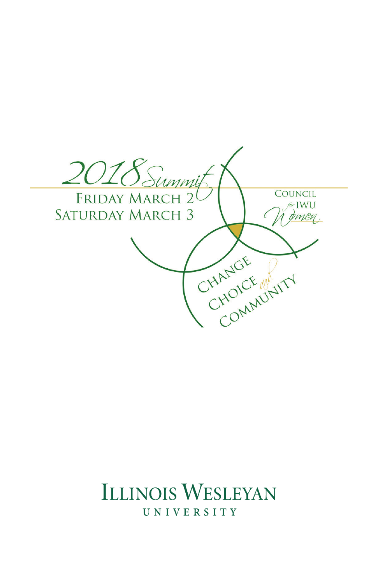

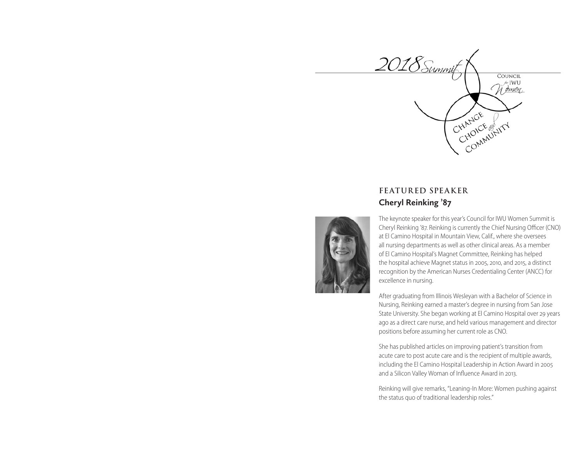

### **FEATURED SPEAKER Cheryl Reinking '87**

The keynote speaker for this year's Council for IWU Women Summit is Cheryl Reinking '87. Reinking is currently the Chief Nursing Officer (CNO) at El Camino Hospital in Mountain View, Calif., where she oversees all nursing departments as well as other clinical areas. As a member of El Camino Hospital's Magnet Committee, Reinking has helped the hospital achieve Magnet status in 2005, 2010, and 2015, a distinct recognition by the American Nurses Credentialing Center (ANCC) for excellence in nursing.

After graduating from Illinois Wesleyan with a Bachelor of Science in Nursing, Reinking earned a master's degree in nursing from San Jose State University. She began working at El Camino Hospital over 29 years ago as a direct care nurse, and held various management and director positions before assuming her current role as CNO.

She has published articles on improving patient's transition from acute care to post acute care and is the recipient of multiple awards, including the El Camino Hospital Leadership in Action Award in 2005 and a Silicon Valley Woman of Influence Award in 2013.

Reinking will give remarks, "Leaning-In More: Women pushing against the status quo of traditional leadership roles."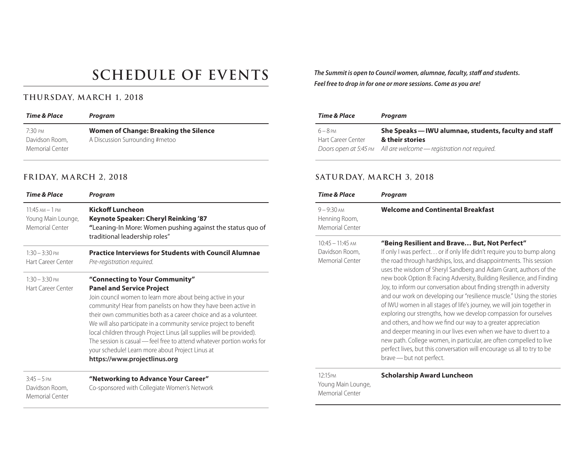# **SCHEDULE OF EVENTS**

### **THURSDAY, M ARCH 1, 2018**

| Time & Place    | Program                               |
|-----------------|---------------------------------------|
| 7.30 рм         | Women of Change: Breaking the Silence |
| Davidson Room,  | A Discussion Surrounding #metoo       |
| Memorial Center |                                       |

### **FRIDAY, M ARCH 2, 2018**

| <b>Time &amp; Place</b>                                     | Program                                                                                                                                                                                                                                                                                                                                                                                                                                                                                                                                                                               |
|-------------------------------------------------------------|---------------------------------------------------------------------------------------------------------------------------------------------------------------------------------------------------------------------------------------------------------------------------------------------------------------------------------------------------------------------------------------------------------------------------------------------------------------------------------------------------------------------------------------------------------------------------------------|
| $11.45$ AM $-1$ PM<br>Young Main Lounge,<br>Memorial Center | <b>Kickoff Luncheon</b><br>Keynote Speaker: Cheryl Reinking '87<br>"Leaning-In More: Women pushing against the status quo of<br>traditional leadership roles"                                                                                                                                                                                                                                                                                                                                                                                                                         |
| $1:30 - 3:30$ PM<br>Hart Career Center                      | <b>Practice Interviews for Students with Council Alumnae</b><br>Pre-registration required.                                                                                                                                                                                                                                                                                                                                                                                                                                                                                            |
| $1:30 - 3:30$ PM<br>Hart Career Center                      | "Connecting to Your Community"<br><b>Panel and Service Project</b><br>Join council women to learn more about being active in your<br>community! Hear from panelists on how they have been active in<br>their own communities both as a career choice and as a volunteer.<br>We will also participate in a community service project to benefit<br>local children through Project Linus (all supplies will be provided).<br>The session is casual - feel free to attend whatever portion works for<br>your schedule! Learn more about Project Linus at<br>https://www.projectlinus.org |
| $3:45 - 5$ PM<br>Davidson Room,<br>Memorial Center          | "Networking to Advance Your Career"<br>Co-sponsored with Collegiate Women's Network                                                                                                                                                                                                                                                                                                                                                                                                                                                                                                   |

*The Summit is open to Council women, alumnae, faculty, staff and students. Feel free to drop in for one or more sessions. Come as you are!*

| Time & Place       | Program                                                            |
|--------------------|--------------------------------------------------------------------|
| $6 - 8$ PM         | She Speaks — IWU alumnae, students, faculty and staff              |
| Hart Career Center | & their stories                                                    |
|                    | Doors open at 5:45 PM All are welcome - registration not required. |

### **SATURDAY, M ARCH 3, 2018**

| <b>Time &amp; Place</b>                                 | Program                                                                                                                                                                                                                                                                                                                                                                                                                                                                                                                                                                                                                                                                                                                                                                                                                                                                                                                                                      |
|---------------------------------------------------------|--------------------------------------------------------------------------------------------------------------------------------------------------------------------------------------------------------------------------------------------------------------------------------------------------------------------------------------------------------------------------------------------------------------------------------------------------------------------------------------------------------------------------------------------------------------------------------------------------------------------------------------------------------------------------------------------------------------------------------------------------------------------------------------------------------------------------------------------------------------------------------------------------------------------------------------------------------------|
| $9 - 9:30$ AM<br>Henning Room,<br>Memorial Center       | <b>Welcome and Continental Breakfast</b>                                                                                                                                                                                                                                                                                                                                                                                                                                                                                                                                                                                                                                                                                                                                                                                                                                                                                                                     |
| $10:45 - 11:45$ AM<br>Davidson Room,<br>Memorial Center | "Being Resilient and Brave But, Not Perfect"<br>If only I was perfect or if only life didn't require you to bump along<br>the road through hardships, loss, and disappointments. This session<br>uses the wisdom of Sheryl Sandberg and Adam Grant, authors of the<br>new book Option B: Facing Adversity, Building Resilience, and Finding<br>Joy, to inform our conversation about finding strength in adversity<br>and our work on developing our "resilience muscle." Using the stories<br>of IWU women in all stages of life's journey, we will join together in<br>exploring our strengths, how we develop compassion for ourselves<br>and others, and how we find our way to a greater appreciation<br>and deeper meaning in our lives even when we have to divert to a<br>new path. College women, in particular, are often compelled to live<br>perfect lives, but this conversation will encourage us all to try to be<br>brave - but not perfect. |
| 12:15PM<br>Young Main Lounge,<br>Memorial Center        | <b>Scholarship Award Luncheon</b>                                                                                                                                                                                                                                                                                                                                                                                                                                                                                                                                                                                                                                                                                                                                                                                                                                                                                                                            |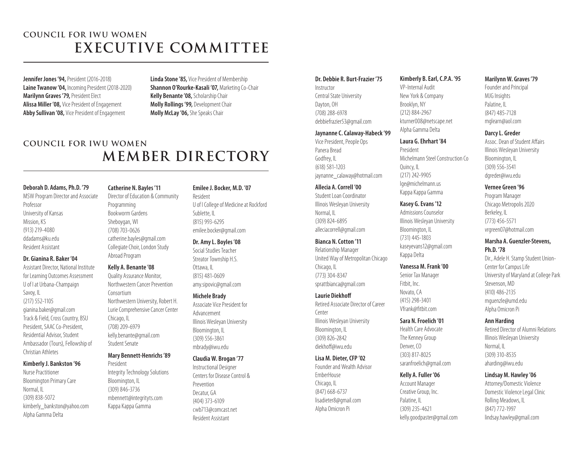## **COUNCIL FOR IWU WOMEN EXECUTIVE COMMITTEE**

**Jennifer Jones '94, President (2016-2018) Laine Twanow '04,** Incoming President (2018-2020) **Marilynn Graves '79,** President Elect **Alissa Miller '08,** Vice President of Engagement **Abby Sullivan '08,** Vice President of Engagement

**Linda Stone '85,** Vice President of Membership **Shannon O'Rourke-Kasali '07,** Marketing Co-Chair **Kelly Benante '08,** Scholarship Chair **Molly Rollings '99,** Development Chair **Molly McLay '06,** She Speaks Chair

## **COUNCIL FOR IWU WOMEN MEMBER DIRECTORY**

### **Deborah D. Adams, Ph.D. '79**

MSW Program Director and Associate Professor University of Kansas Mission, KS (913) 219-4080 ddadams@ku.edu Resident Assistant

#### **Dr. Gianina R. Baker '04**

Assistant Director, National Institute for Learning Outcomes Assessment U of I at Urbana-Champaign Savoy, IL (217) 552-1105 gianina.baker@gmail.com Track & Field, Cross Country, BSU President, SAAC Co-President, Residential Advisor, Student Ambassador (Tours), Fellowship of Christian Athletes

### **Kimberly J. Bankston '96**

Nurse Practitioner Bloomington Primary Care Normal, IL (309) 838-5072 kimberly\_bankston@yahoo.com Alpha Gamma Delta

### **Catherine N. Bayles '11**

Director of Education & Community Programming Bookworm Gardens Sheboygan, WI (708) 703-0626 catherine.bayles@gmail.com Collegiate Choir, London Study Abroad Program

### **Kelly A. Benante '08**

Quality Assurance Monitor, Northwestern Cancer Prevention Consortium Northwestern University, Robert H. Lurie Comprehensive Cancer Center Chicago, IL (708) 209-6979 kelly.benante@gmail.com Student Senate

### **Mary Bennett-Henrichs '89**

President Integrity Technology Solutions Bloomington, IL (309) 846-3736 mbennett@integrityts.com Kappa Kappa Gamma

### **Emilee J. Bocker, M.D. '07**

Resident U of I College of Medicine at Rockford Sublette, IL (815) 993-6295 emilee.bocker@gmail.com

### **Dr. Amy L. Boyles '08**

Social Studies Teacher Streator Township H.S. Ottawa, IL (815) 481-0609 amy.sipovic@gmail.com

#### **Michele Brady**

Associate Vice President for Advancement Illinois Wesleyan University Bloomington, IL (309) 556-3861 mbrady@iwu.edu

### **Claudia W. Brogan '77**

Instructional Designer Centers for Disease Control & Prevention Decatur, GA (404) 373-6109 cwb713@comcast.net Resident Assistant

### **Dr. Debbie R. Burt-Frazier '75**

Instructor Central State University Dayton, OH (708) 288-6978 debbiefrazier53@gmail.com

### **Jaynanne C. Calaway-Habeck '99**

Vice President, People Ops Panera Bread Godfrey, IL (618) 581-1203 jaynanne\_calaway@hotmail.com

### **Allecia A. Correll '00**

Student Loan Coordinator Illinois Wesleyan University Normal, IL (309) 824-6895 alleciacorrell@gmail.com

### **Bianca N. Cotton '11**

Relationship Manager United Way of Metropolitan Chicago Chicago, IL (773) 304-8347 sprattbianca@gmail.com

#### **Laurie Diekhoff**

Retired Associate Director of Career Center Illinois Wesleyan University Bloomington, IL (309) 826-2842 diekhoff@iwu.edu

### **Lisa M. Dieter, CFP '02**

Founder and Wealth Advisor EmberHouse Chicago, IL (847) 668-6737 lisadieter8@gmail.com Alpha Omicron Pi

### **Kimberly B. Earl, C.P.A. '95**

VP-Internal Audit New York & Company Brooklyn, NY (212) 884-2967 kturner008@netscape.net Alpha Gamma Delta

### **Laura G. Ehrhart '84**

President Michelmann Steel Construction Co Quincy, IL (217) 242-9905 lge@michelmann.us Kappa Kappa Gamma

### **Kasey G. Evans '12**

Admissions Counselor Illinois Wesleyan University Bloomington, IL (731) 445-1803 kaseyevans12@gmail.com Kappa Delta

### **Vanessa M. Frank '00**

Senior Tax Manager Fitbit, Inc. Novato, CA (415) 298-3401 Vfrank@fitbit.com

#### **Sara N. Froelich '01**

Health Care Advocate The Kenney Group Denver, CO (303) 817-8025 saranfroelich@gmail.com

### **Kelly A. Fuller '06**

Account Manager Creative Group, Inc. Palatine, IL (309) 235-4621 kelly.goodpaster@gmail.com

#### **Marilynn W. Graves '79**

Founder and Principal MJG Insights Palatine, IL (847) 485-7128 mglearn@aol.com

### **Darcy L. Greder**

Assoc. Dean of Student Affairs Illinois Wesleyan University Bloomington, IL (309) 556-3541 dgreder@iwu.edu

### **Vernee Green '96**

Program Manager Chicago Metropolis 2020 Berkeley, IL (773) 456-5571 vrgreen07@hotmail.com

### **Marsha A. Guenzler-Stevens, Ph.D. '78**

Dir., Adele H. Stamp Student Union-Center for Campus Life University of Maryland at College Park Stevenson, MD (410) 486-2135 mguenzle@umd.edu Alpha Omicron Pi

### **Ann Harding**

Retired Director of Alumni Relations Illinois Wesleyan University Normal, IL (309) 310-8535 aharding@iwu.edu

### **Lindsay M. Hawley '06**

Attorney/Domestic Violence Domestic Violence Legal Clinic Rolling Meadows, IL (847) 772-1997 lindsay.hawley@gmail.com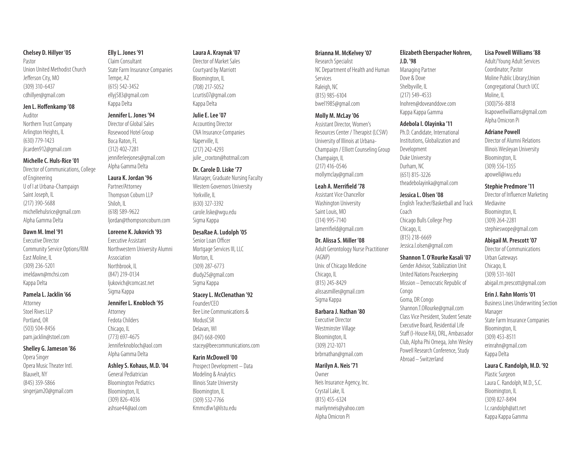### **Chelsey D. Hillyer '05**

Pastor Union United Methodist Church Jefferson City, MO (309) 310-6437 cdhillyer@gmail.com

#### **Jen L. Hoffenkamp '08**

Auditor Northern Trust Company Arlington Heights, IL (630) 779-1423 jlcarden912@gmail.com

#### **Michelle C. Huls-Rice '01**

Director of Communications, College of Engineering U of I at Urbana-Champaign Saint Joseph, IL (217) 390-5688 michellehulsrice@gmail.com Alpha Gamma Delta

### **Dawn M. Imel '91**

Executive Director Community Service Options/RIM East Moline, IL (309) 236-5201 imeldawn@mchsi.com Kappa Delta

### **Pamela L. Jacklin '66**

Attorney Stoel Rives LLP Portland, OR (503) 504-8456 pam.jacklin@stoel.com

### **Shelley G. Jameson '86**

Opera Singer Opera Music Theater Intl. Blauvelt, NY (845) 359-5866 singerjam20@gmail.com

### **Elly L. Jones '91**

Claim Consultant State Farm Insurance Companies Tempe, AZ (615) 542-3452 ellyj583@gmail.com Kappa Delta

### **Jennifer L. Jones '94**

Director of Global Sales Rosewood Hotel Group Boca Raton, FL (312) 402-7281 jenniferleejones@gmail.com Alpha Gamma Delta

### **Laura K. Jordan '96**

Partner/Attorney Thompson Coburn LLP Shiloh II (618) 589-9622 liordan@thompsoncoburn.com

#### **Loreene K. Jukovich '93**

Executive Assistant Northwestern University Alumni Association Northbrook, IL (847) 219-0134 ljukovich@comcast.net Sigma Kappa

### **Jennifer L. Knobloch '95**

Attorney Fedota Childers Chicago, IL (773) 697-4675 Jenniferknobloch@aol.com Alpha Gamma Delta

### **Ashley S. Kohaus, M.D. '04**

General Pediatrician Bloomington Pediatrics Bloomington, IL (309) 826-4036 ashsue44@aol.com

### **Laura A. Kraynak '07**

Director of Market Sales Courtyard by Marriott Bloomington, IL (708) 217-5052 Lcurtis07@gmail.com Kappa Delta

### **Julie E. Lee '07**

Accounting Director CNA Insurance Companies Naperville, IL (217) 242-4293 julie\_croxton@hotmail.com

### **Dr. Carole D. Liske '77**

Manager, Graduate Nursing Faculty Western Governors University Yorkville, IL (630) 327-3392 carole.liske@wgu.edu Sigma Kappa

### **DesaRae A. Ludolph '05**

Senior Loan Officer Mortgage Services III, LLC Morton, IL (309) 287-6773 dludy25@gmail.com Sigma Kappa

#### **Stacey L. McClenathan '92**

Founder/CEO Bee Line Communications & **ModusCSR** Delavan, WI (847) 668-0900 stacey@beecommunications.com

### **Karin McDowell '00**

Prospect Development – Data Modeling & Analytics Illinois State University Bloomington, IL (309) 532-7766 Kmmcdlw1@ilstu.edu

#### **Brianna M. McKelvey '07**

Research Specialist NC Department of Health and Human Services Raleigh, NC (815) 985-6104 bwel1985@gmail.com

#### **Molly M. McLay '06**

Assistant Director, Women's Resources Center / Therapist (LCSW) University of Illinois at Urbana-Champaign / Elliott Counseling Group Champaign, IL (217) 416-0546 mollymclay@gmail.com

### **Leah A. Merrifield '78**

Assistant Vice Chancellor Washington University Saint Louis, MO (314) 995-7140 lamerrifield@gmail.com

#### **Dr. Alissa S. Miller '08**

Adult Gerontology Nurse Practitioner (AGNP) Univ. of Chicago Medicine Chicago, IL (815) 245-8429 alissasmiller@gmail.com Sigma Kappa

#### **Barbara J. Nathan '80**

Executive Director Westminster Village Bloomington, IL (309) 212-1071 brbrnathan@gmail.com

#### **Marilyn A. Neis '71**

Owner Neis Insurance Agency, Inc. Crystal Lake, IL (815) 455-6324 marilynneis@yahoo.com Alpha Omicron Pi

### **Elizabeth Eberspacher Nohren,**

**J.D. '98** Managing Partner Dove & Dove Shelbyville, IL (217) 549-4533 lnohren@doveanddove.com Kappa Kappa Gamma

#### **Adebola I. Olayinka '11**

Ph.D. Candidate, International Institutions, Globalization and Development Duke University Durham, NC (651) 815-3226 theadebolayinka@gmail.com

### **Jessica L. Olsen '08**

English Teacher/Basketball and Track Coach Chicago Bulls College Prep Chicago, IL (815) 218-6669 Jessica.l.olsen@gmail.com

### **Shannon T. O'Rourke Kasali '07**

Gender Advisor, Stabilization Unit United Nations Peacekeeping Mission – Democratic Republic of Congo Goma, DR Congo Shannon.T.ORourke@gmail.com Class Vice President, Student Senate Executive Board, Residential Life Staff (I-House RA), DRL, Ambassador Club, Alpha Phi Omega, John Wesley Powell Research Conference, Study Abroad –Switzerland

### **Lisa Powell Williams '88**

Adult/Young Adult Services Coordinator; Pastor Moline Public Library;Union Congregational Church UCC Moline, IL (300)756-8818 lisapowellwilliams@gmail.com Alpha Omicron Pi

### **Adriane Powell**

Director of Alumni Relations Illinois Wesleyan University Bloomington, IL (309) 556-1355 apowell@iwu.edu

### **Stephie Predmore '11**

Director of Influencer Marketing Mediavine Bloomington, IL (309) 264-2281 stephieswope@gmail.com

### **Abigail M. Prescott '07**

Director of Communications Urban Gateways Chicago, IL (309) 531-1601 abigail.m.prescott@gmail.com

#### **Erin J. Rahn Morris '01**

Business Lines Underwriting Section Manager State Farm Insurance Companies Bloomington, IL (309) 453-8511 erinrahn@gmail.com Kappa Delta

### **Laura C. Randolph, M.D. '92**

Plastic Surgeon Laura C. Randolph, M.D., S.C. Bloomington, IL (309) 827-8494 l.c.randolph@att.net Kappa Kappa Gamma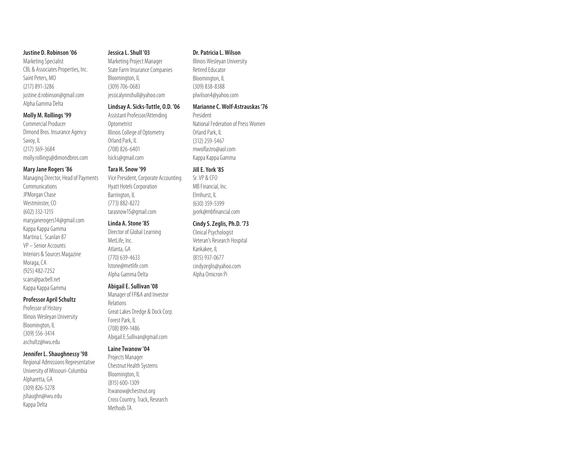### **Justine D. Robinson '06**

Marketing Specialist CBL & Associates Properties, Inc. Saint Peters, MO (217) 891-3286 justine.d.robinson@gmail.com Alpha Gamma Delta

#### **Molly M. Rollings '99**

Commercial Producer Dimond Bros. Insurance Agency Savoy, IL (217) 369-3684 molly.rollings@dimondbros.com

### **Mary Jane Rogers '86**

Managing Director, Head of Payments **Communications** JPMorgan Chase Westminster, CO (602) 332-1215 maryjanerogers14@gmail.com Kappa Kappa Gamma Martina L. Scanlan 87 VP - Senior Accounts Interiors & Sources Magazine Moraga, CA (925) 482-7252 scans@pacbell.net Kappa Kappa Gamma

### **Professor April Schultz**

Professor of History Illinois Wesleyan University Bloomington, IL (309) 556-3414 aschultz@iwu.edu

### **Jennifer L. Shaughnessy '98**

Regional Admissions Representative University of Missouri-Columbia Alpharetta, GA (309) 826-5278 jshaughn@iwu.edu Kappa Delta

### **Jessica L. Shull '03**

Marketing Project Manager State Farm Insurance Companies Bloomington, IL (309) 706-0683 jessicalynnshull@yahoo.com

### **Lindsay A. Sicks-Tuttle, O.D. '06**

Assistant Professor/Attending Optometrist Illinois College of Optometry Orland Park, IL (708) 826-6401 lsicks@gmail.com

#### **Tara H. Snow '99**

Vice President, Corporate Accounting Hyatt Hotels Corporation Barrington, IL (773) 882-8272 tarasnow15@gmail.com

### **Linda A. Stone '85**

Director of Global Learning MetLife, Inc. Atlanta, GA (770) 639-4633 lstone@metlife.com Alpha Gamma Delta

### **Abigail E. Sullivan '08**

Manager of FP&A and Investor Relations Great Lakes Dredge & Dock Corp. Forest Park, IL (708) 899-1486 Abigail.E.Sullivan@gmail.com

### **Laine Twanow '04**

Projects Manager Chestnut Health Systems Bloomington, IL (815) 600-1309 ltwanow@chestnut.org Cross Country, Track, Research Methods TA

### **Dr. Patricia L. Wilson**

Illinois Wesleyan University Retired Educator Bloomington, IL (309) 838-8388 plwilson4@yahoo.com

### **Marianne C. Wolf-Astrauskas '76**

President National Federation of Press Women Orland Park, IL (312) 259-5467 mwolfastro@aol.com Kappa Kappa Gamma

#### **Jill E. York '85**

Sr. VP & CFO MB Financial, Inc. Elmhurst, IL (630) 359-5399 jyork@mbfinancial.com

### **Cindy S. Zeglis, Ph.D. '73**

Clinical Psychologist Veteran's Research Hospital Kankakee, IL (815) 937-0677 cindyzeglis@yahoo.com Alpha Omicron Pi